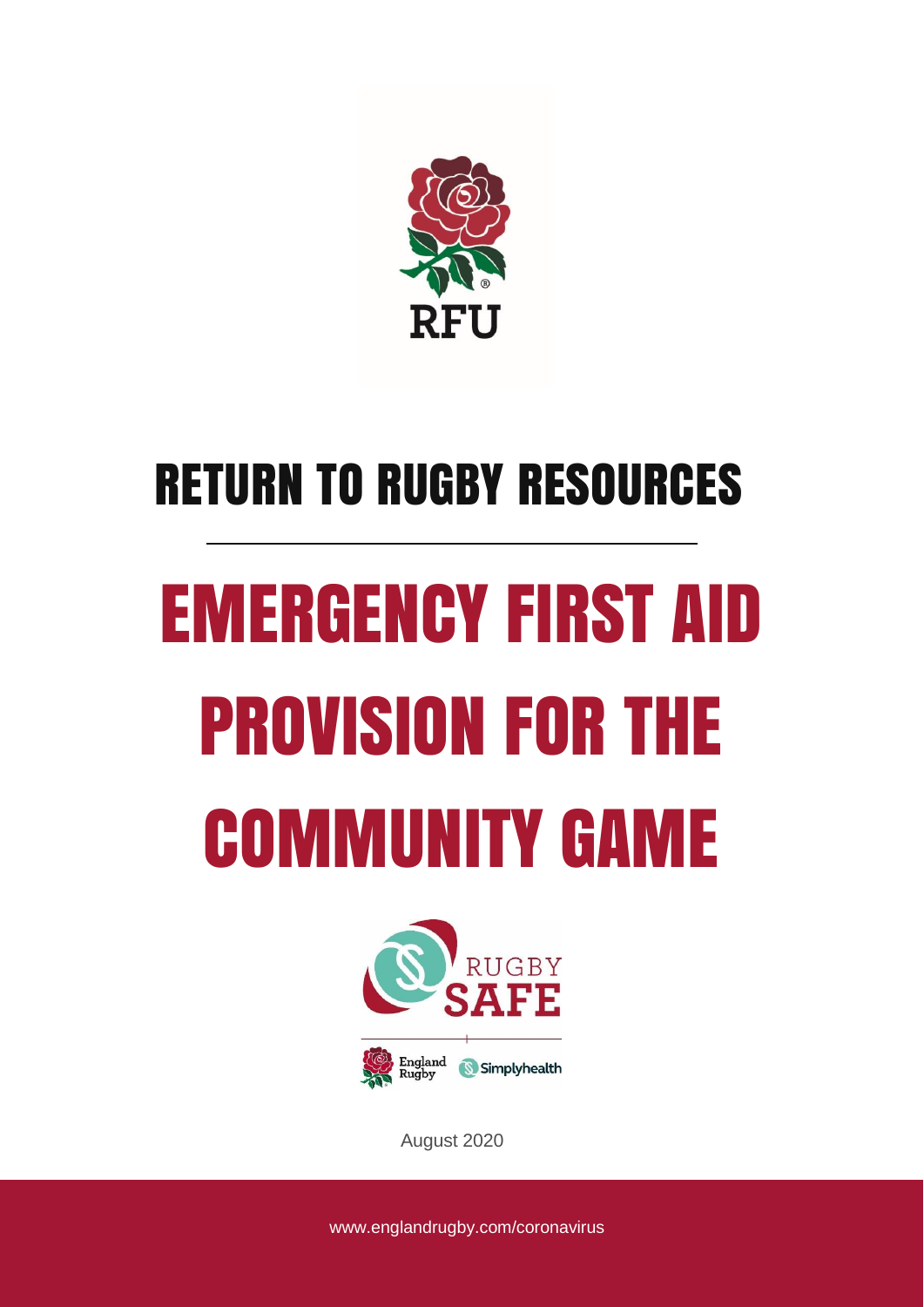

# RETURN TO RUGBY RESOURCES

# EMERGENCY FIRST AID PROVISION FOR THE COMMUNITY GAME



August 2020

www.englandrugby.com/coronavirus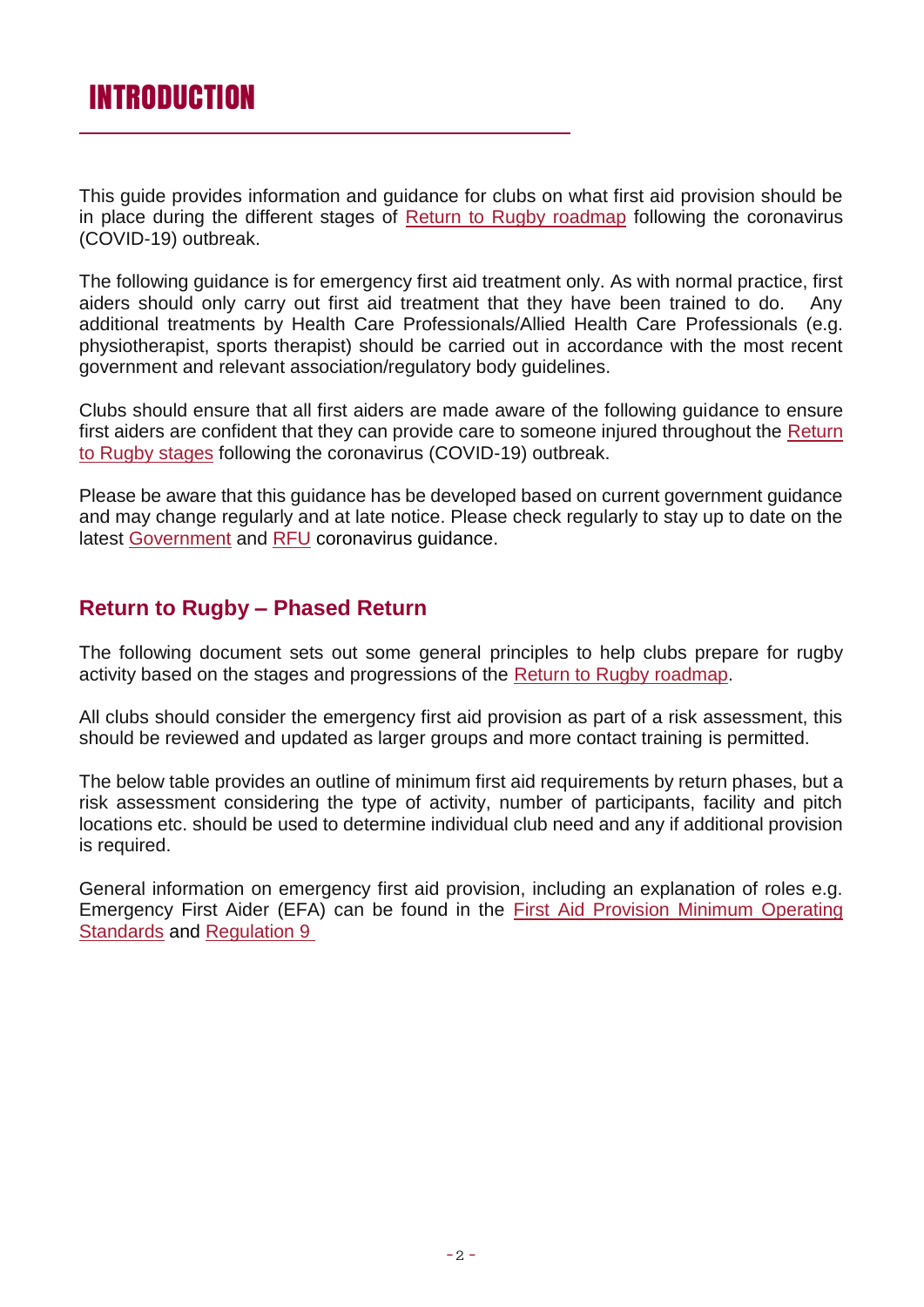This guide provides information and guidance for clubs on what first aid provision should be in place during the different stages of [Return to Rugby roadmap](https://www.englandrugby.com/dxdam/71/717919ed-48ae-434d-b4b0-5437e16a9154/RUGBY%20RESTART%20ROAD%20MAP%20FINAL%202020_Part1.pdf) following the coronavirus (COVID-19) outbreak.

The following guidance is for emergency first aid treatment only. As with normal practice, first aiders should only carry out first aid treatment that they have been trained to do. Any additional treatments by Health Care Professionals/Allied Health Care Professionals (e.g. physiotherapist, sports therapist) should be carried out in accordance with the most recent government and relevant association/regulatory body guidelines.

Clubs should ensure that all first aiders are made aware of the following guidance to ensure first aiders are confident that they can provide care to someone injured throughout the [Return](https://www.englandrugby.com/dxdam/71/717919ed-48ae-434d-b4b0-5437e16a9154/RUGBY%20RESTART%20ROAD%20MAP%20FINAL%202020_Part1.pdf)  [to Rugby stages](https://www.englandrugby.com/dxdam/71/717919ed-48ae-434d-b4b0-5437e16a9154/RUGBY%20RESTART%20ROAD%20MAP%20FINAL%202020_Part1.pdf) following the coronavirus (COVID-19) outbreak.

Please be aware that this guidance has be developed based on current government guidance and may change regularly and at late notice. Please check regularly to stay up to date on the latest [Government](https://www.gov.uk/coronavirus) and [RFU](https://www.englandrugby.com/participation/running-your-club/coronavirus) coronavirus guidance.

#### **Return to Rugby – Phased Return**

The following document sets out some general principles to help clubs prepare for rugby activity based on the stages and progressions of the [Return to Rugby](https://www.englandrugby.com/dxdam/71/717919ed-48ae-434d-b4b0-5437e16a9154/RUGBY%20RESTART%20ROAD%20MAP%20FINAL%202020_Part1.pdf) roadmap.

All clubs should consider the emergency first aid provision as part of a risk assessment, this should be reviewed and updated as larger groups and more contact training is permitted.

The below table provides an outline of minimum first aid requirements by return phases, but a risk assessment considering the type of activity, number of participants, facility and pitch locations etc. should be used to determine individual club need and any if additional provision is required.

General information on emergency first aid provision, including an explanation of roles e.g. Emergency First Aider (EFA) can be found in the [First Aid Provision Minimum Operating](https://www.englandrugby.com/dxdam/4e/4e0ce4f0-ee54-4e8e-a433-079f5d041ce6/Minimum%20Operating%20Standards.pdf)  [Standards](https://www.englandrugby.com/dxdam/4e/4e0ce4f0-ee54-4e8e-a433-079f5d041ce6/Minimum%20Operating%20Standards.pdf) and [Regulation 9](https://www.englandrugby.com/dxdam/13/1346edc1-1bbd-410e-8b36-4f3dacc74850/Regulation%209.pdf)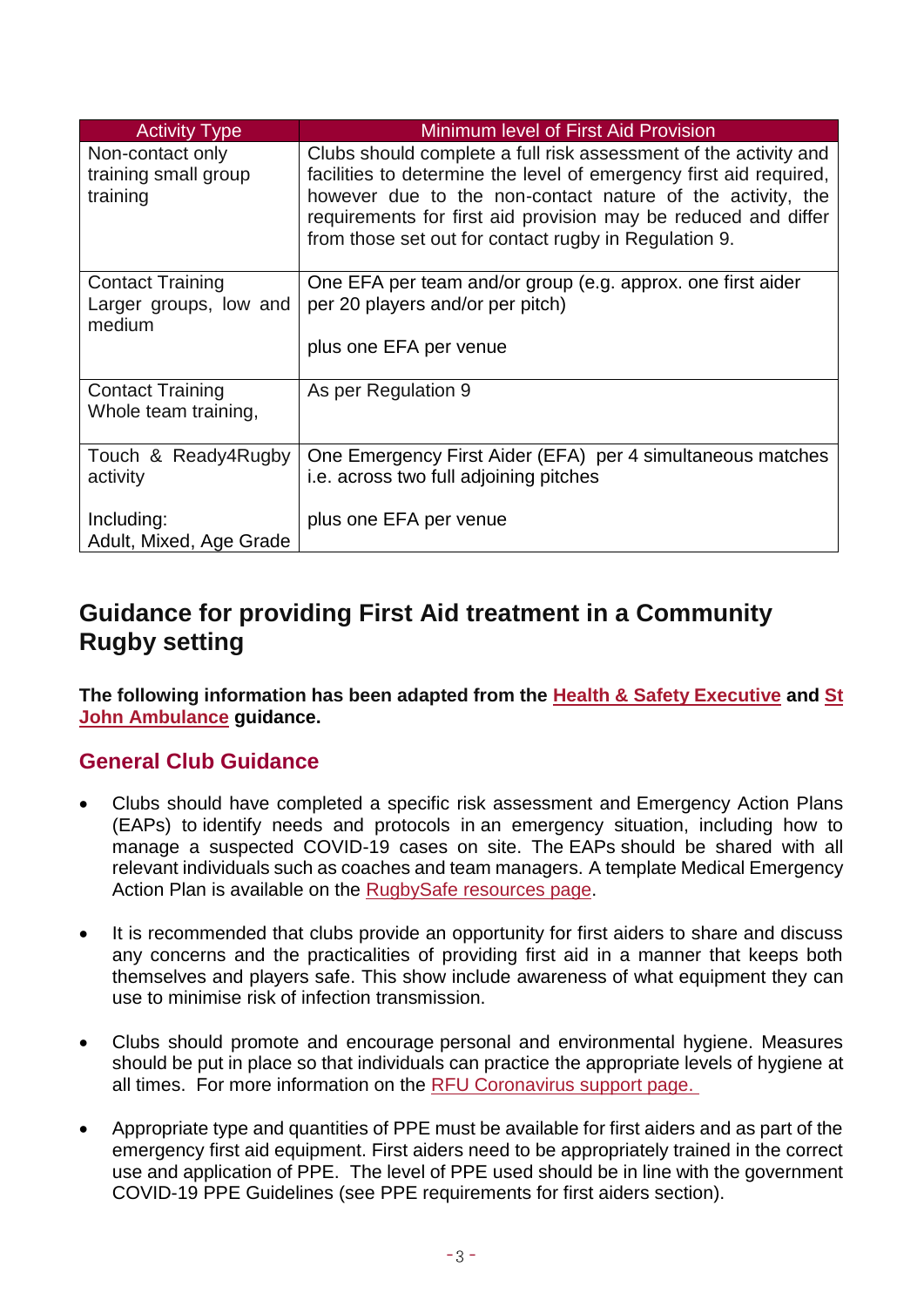| <b>Activity Type</b>                                        | <b>Minimum level of First Aid Provision</b>                                                                                                                                                                                                                                                                                     |
|-------------------------------------------------------------|---------------------------------------------------------------------------------------------------------------------------------------------------------------------------------------------------------------------------------------------------------------------------------------------------------------------------------|
| Non-contact only<br>training small group<br>training        | Clubs should complete a full risk assessment of the activity and<br>facilities to determine the level of emergency first aid required,<br>however due to the non-contact nature of the activity, the<br>requirements for first aid provision may be reduced and differ<br>from those set out for contact rugby in Regulation 9. |
| <b>Contact Training</b><br>Larger groups, low and<br>medium | One EFA per team and/or group (e.g. approx. one first aider<br>per 20 players and/or per pitch)<br>plus one EFA per venue                                                                                                                                                                                                       |
| <b>Contact Training</b><br>Whole team training,             | As per Regulation 9                                                                                                                                                                                                                                                                                                             |
| Touch & Ready4Rugby<br>activity                             | One Emergency First Aider (EFA) per 4 simultaneous matches<br><i>i.e.</i> across two full adjoining pitches                                                                                                                                                                                                                     |
| Including:<br>Adult, Mixed, Age Grade                       | plus one EFA per venue                                                                                                                                                                                                                                                                                                          |

#### **Guidance for providing First Aid treatment in a Community Rugby setting**

**The following information has been adapted from the [Health & Safety Executive](https://www.hse.gov.uk/coronavirus/first-aid-and-medicals/first-aid-certificate-coronavirus.htm) and [St](https://www.sja.org.uk/get-advice/first-aid-advice/covid-19-advice-for-first-aiders/)  [John Ambulance](https://www.sja.org.uk/get-advice/first-aid-advice/covid-19-advice-for-first-aiders/) guidance.**

#### **General Club Guidance**

- Clubs should have completed a specific risk assessment and Emergency Action Plans (EAPs) to identify needs and protocols in an emergency situation, including how to manage a suspected COVID-19 cases on site. The EAPs should be shared with all relevant individuals such as coaches and team managers. A template Medical Emergency Action Plan is available on the [RugbySafe resources page.](https://www.englandrugby.com/participation/playing/player-welfare-rugby-safe/essential-guides-and-resources)
- It is recommended that clubs provide an opportunity for first aiders to share and discuss any concerns and the practicalities of providing first aid in a manner that keeps both themselves and players safe. This show include awareness of what equipment they can use to minimise risk of infection transmission.
- Clubs should promote and encourage personal and environmental hygiene. Measures should be put in place so that individuals can practice the appropriate levels of hygiene at all times. For more information on the [RFU Coronavirus support page.](https://www.englandrugby.com/participation/running-your-club/coronavirus/coronavirus-resources)
- Appropriate type and quantities of PPE must be available for first aiders and as part of the emergency first aid equipment. First aiders need to be appropriately trained in the correct use and application of PPE. The level of PPE used should be in line with the government COVID-19 PPE Guidelines (see PPE requirements for first aiders section).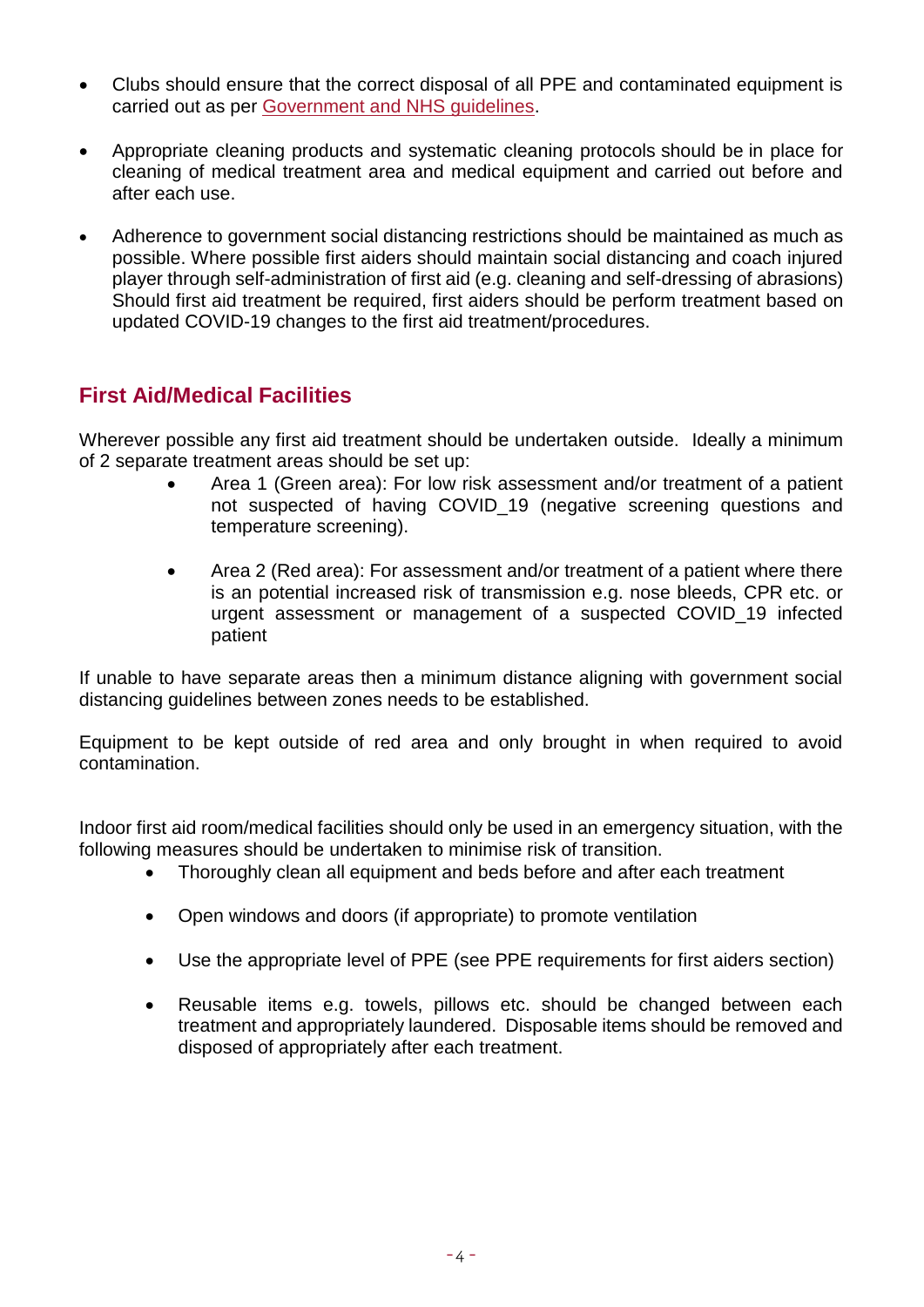- Clubs should ensure that the correct disposal of all PPE and contaminated equipment is carried out as per [Government and NHS guidelines.](https://www.england.nhs.uk/coronavirus/primary-care/infection-control/)
- Appropriate cleaning products and systematic cleaning protocols should be in place for cleaning of medical treatment area and medical equipment and carried out before and after each use.
- Adherence to government social distancing restrictions should be maintained as much as possible. Where possible first aiders should maintain social distancing and coach injured player through self-administration of first aid (e.g. cleaning and self-dressing of abrasions) Should first aid treatment be required, first aiders should be perform treatment based on updated COVID-19 changes to the first aid treatment/procedures.

#### **First Aid/Medical Facilities**

Wherever possible any first aid treatment should be undertaken outside. Ideally a minimum of 2 separate treatment areas should be set up:

- Area 1 (Green area): For low risk assessment and/or treatment of a patient not suspected of having COVID\_19 (negative screening questions and temperature screening).
- Area 2 (Red area): For assessment and/or treatment of a patient where there is an potential increased risk of transmission e.g. nose bleeds, CPR etc. or urgent assessment or management of a suspected COVID\_19 infected patient

If unable to have separate areas then a minimum distance aligning with government social distancing guidelines between zones needs to be established.

Equipment to be kept outside of red area and only brought in when required to avoid contamination.

Indoor first aid room/medical facilities should only be used in an emergency situation, with the following measures should be undertaken to minimise risk of transition.

- Thoroughly clean all equipment and beds before and after each treatment
- Open windows and doors (if appropriate) to promote ventilation
- Use the appropriate level of PPE (see PPE requirements for first aiders section)
- Reusable items e.g. towels, pillows etc. should be changed between each treatment and appropriately laundered. Disposable items should be removed and disposed of appropriately after each treatment.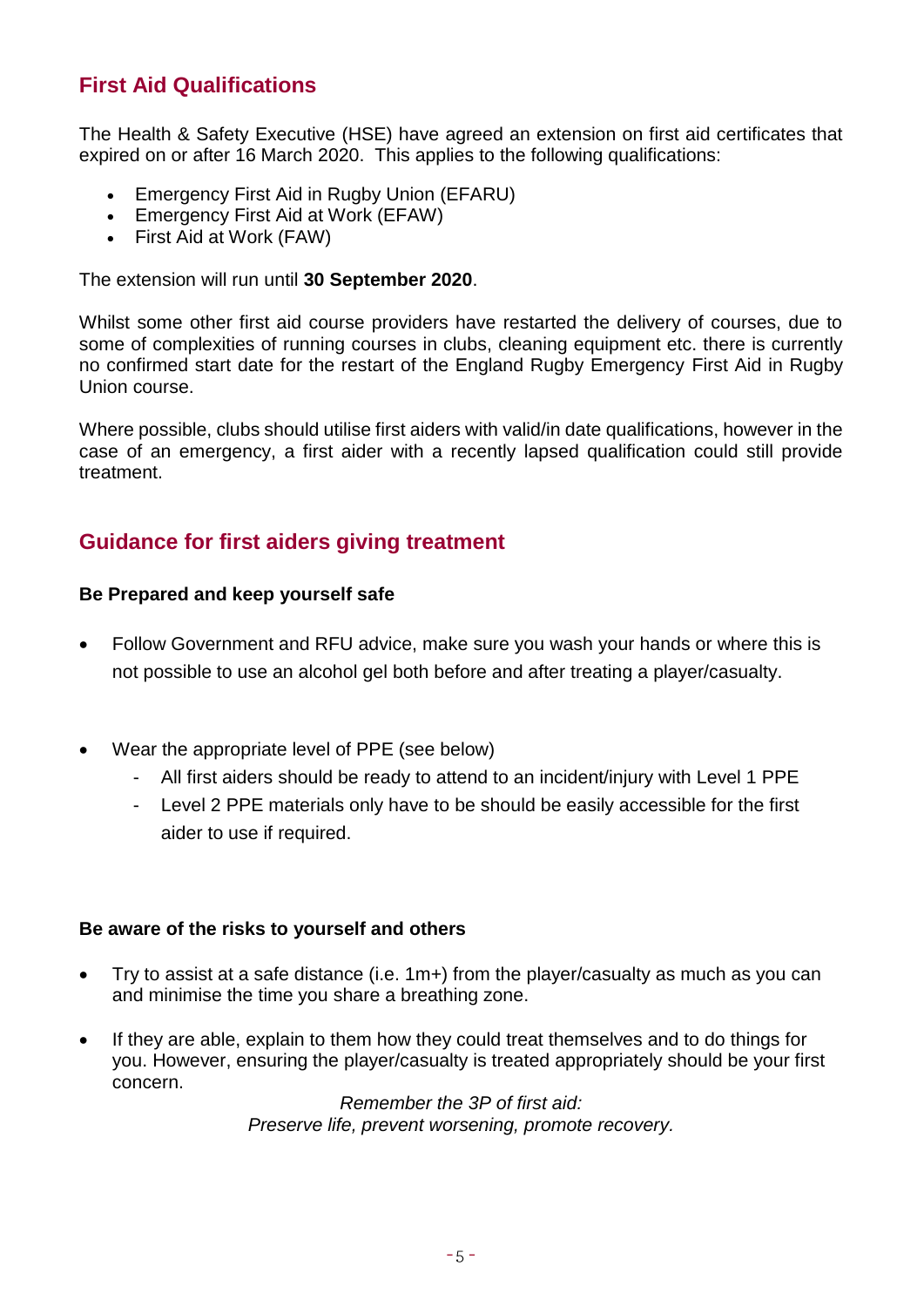#### **First Aid Qualifications**

The Health & Safety Executive (HSE) have agreed an extension on first aid certificates that expired on or after 16 March 2020. This applies to the following qualifications:

- Emergency First Aid in Rugby Union (EFARU)
- Emergency First Aid at Work (EFAW)
- First Aid at Work (FAW)

The extension will run until **30 September 2020**.

Whilst some other first aid course providers have restarted the delivery of courses, due to some of complexities of running courses in clubs, cleaning equipment etc. there is currently no confirmed start date for the restart of the England Rugby Emergency First Aid in Rugby Union course.

Where possible, clubs should utilise first aiders with valid/in date qualifications, however in the case of an emergency, a first aider with a recently lapsed qualification could still provide treatment.

#### **Guidance for first aiders giving treatment**

#### **Be Prepared and keep yourself safe**

- Follow Government and RFU advice, make sure you wash your hands or where this is not possible to use an alcohol gel both before and after treating a player/casualty.
- Wear the appropriate level of PPE (see below)
	- All first aiders should be ready to attend to an incident/injury with Level 1 PPE
	- Level 2 PPE materials only have to be should be easily accessible for the first aider to use if required.

#### **Be aware of the risks to yourself and others**

- Try to assist at a safe distance (i.e. 1m+) from the player/casualty as much as you can and minimise the time you share a breathing zone.
- If they are able, explain to them how they could treat themselves and to do things for you. However, ensuring the player/casualty is treated appropriately should be your first concern.

*Remember the 3P of first aid: Preserve life, prevent worsening, promote recovery.*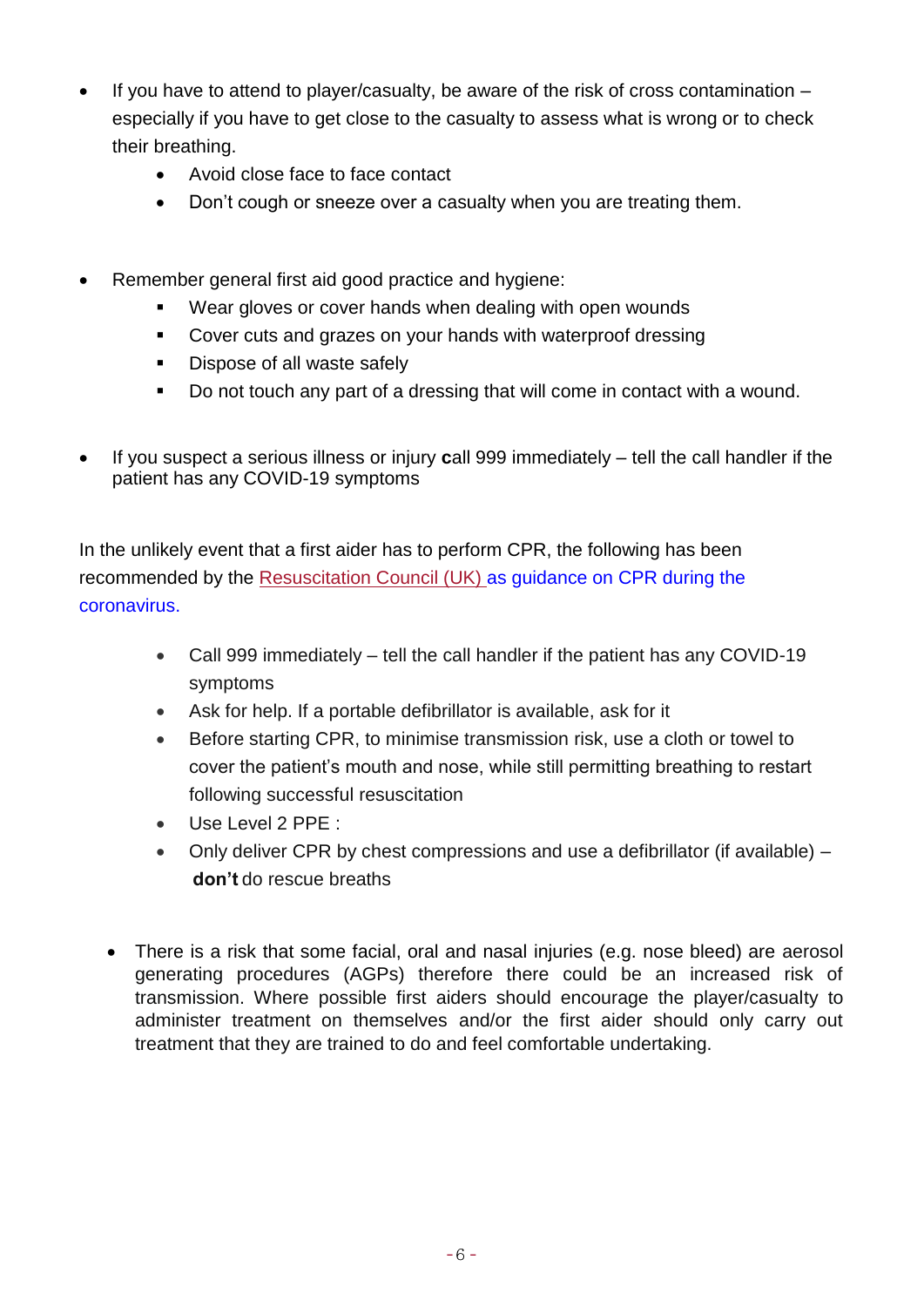- If you have to attend to player/casualty, be aware of the risk of cross contamination especially if you have to get close to the casualty to assess what is wrong or to check their breathing.
	- Avoid close face to face contact
	- Don't cough or sneeze over a casualty when you are treating them.
- Remember general first aid good practice and hygiene:
	- Wear gloves or cover hands when dealing with open wounds
	- Cover cuts and grazes on your hands with waterproof dressing
	- **Dispose of all waste safely**
	- Do not touch any part of a dressing that will come in contact with a wound.
- If you suspect a serious illness or injury **c**all 999 immediately tell the call handler if the patient has any COVID-19 symptoms

In the unlikely event that a first aider has to perform CPR, the following has been recommended by the [Resuscitation Council \(UK\)](https://www.resus.org.uk/covid-19-resources/covid-19-resources-general-public/resuscitation-council-uk-statement-covid-19) as guidance on CPR during the coronavirus.

- Call 999 immediately tell the call handler if the patient has any COVID-19 symptoms
- Ask for help. If a portable defibrillator is available, ask for it
- Before starting CPR, to minimise transmission risk, use a cloth or towel to cover the patient's mouth and nose, while still permitting breathing to restart following successful resuscitation
- Use Level 2 PPE :
- Only deliver CPR by chest compressions and use a defibrillator (if available) **don't** do rescue breaths
- There is a risk that some facial, oral and nasal injuries (e.g. nose bleed) are aerosol generating procedures (AGPs) therefore there could be an increased risk of transmission. Where possible first aiders should encourage the player/casualty to administer treatment on themselves and/or the first aider should only carry out treatment that they are trained to do and feel comfortable undertaking.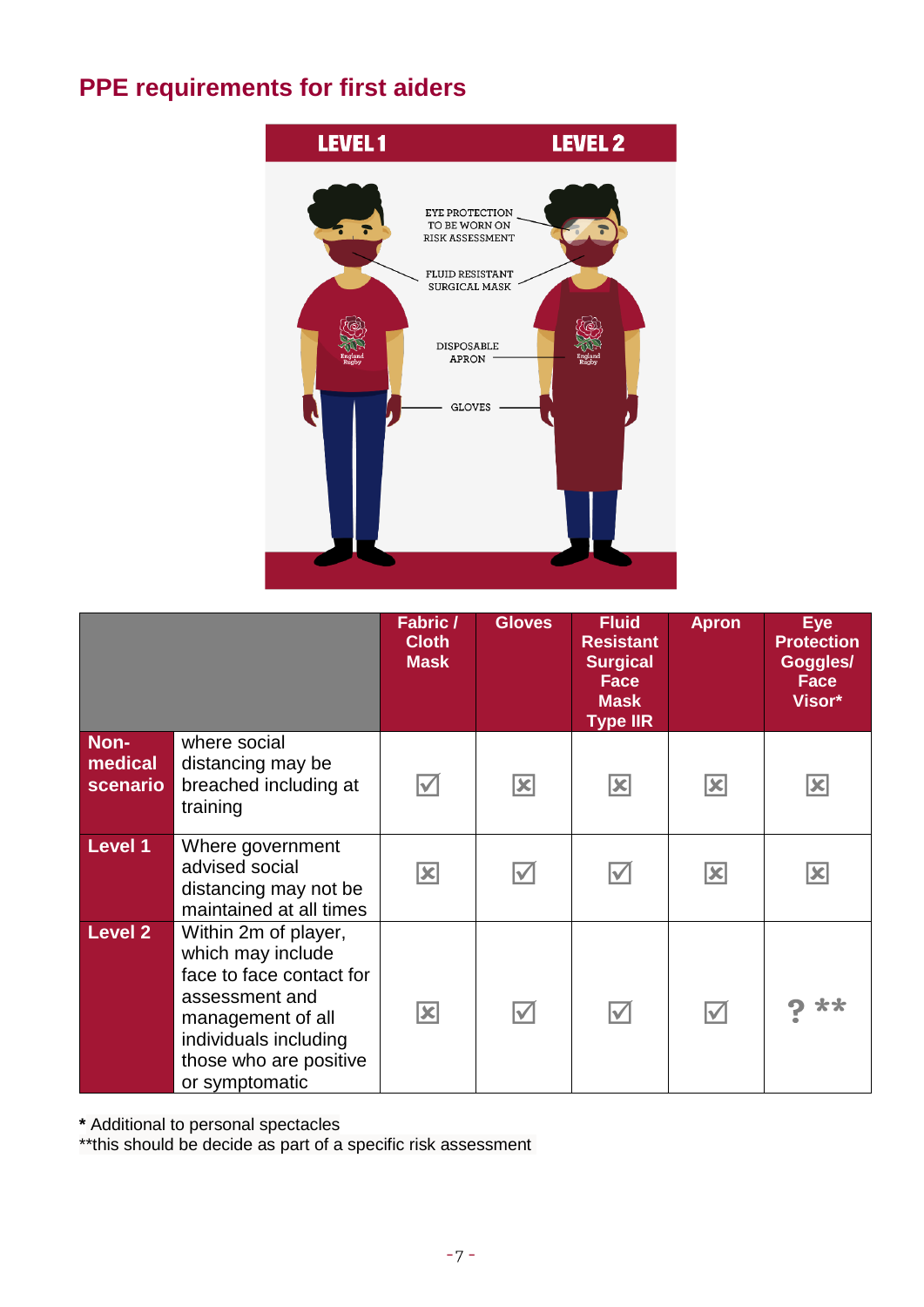## **PPE requirements for first aiders**



|                             |                                                                                                                                                                                   | Fabric /<br><b>Cloth</b><br><b>Mask</b> | <b>Gloves</b>        | <b>Fluid</b><br><b>Resistant</b><br><b>Surgical</b><br><b>Face</b><br><b>Mask</b><br><b>Type IIR</b> | Apron                  | <b>Eye</b><br><b>Protection</b><br>Goggles/<br><b>Face</b><br>Visor* |
|-----------------------------|-----------------------------------------------------------------------------------------------------------------------------------------------------------------------------------|-----------------------------------------|----------------------|------------------------------------------------------------------------------------------------------|------------------------|----------------------------------------------------------------------|
| Non-<br>medical<br>scenario | where social<br>distancing may be<br>breached including at<br>training                                                                                                            | $\blacktriangledown$                    | $\boxed{\mathbf{X}}$ | $\boxed{\mathbf{X}}$                                                                                 | $\boxed{\mathbf{x}}$   | $\vert \mathbf{x} \vert$                                             |
| Level 1                     | Where government<br>advised social<br>distancing may not be<br>maintained at all times                                                                                            | $ \mathbf{x} $                          |                      | Ⅳ                                                                                                    | $\vert\mathbf{x}\vert$ | <u> x</u>                                                            |
| <b>Level 2</b>              | Within 2m of player,<br>which may include<br>face to face contact for<br>assessment and<br>management of all<br>individuals including<br>those who are positive<br>or symptomatic | $\vert\mathbf{x}\vert$                  | $\blacktriangledown$ | $\blacktriangledown$                                                                                 | $\blacktriangledown$   |                                                                      |

**\*** Additional to personal spectacles

\*\*this should be decide as part of a specific risk assessment